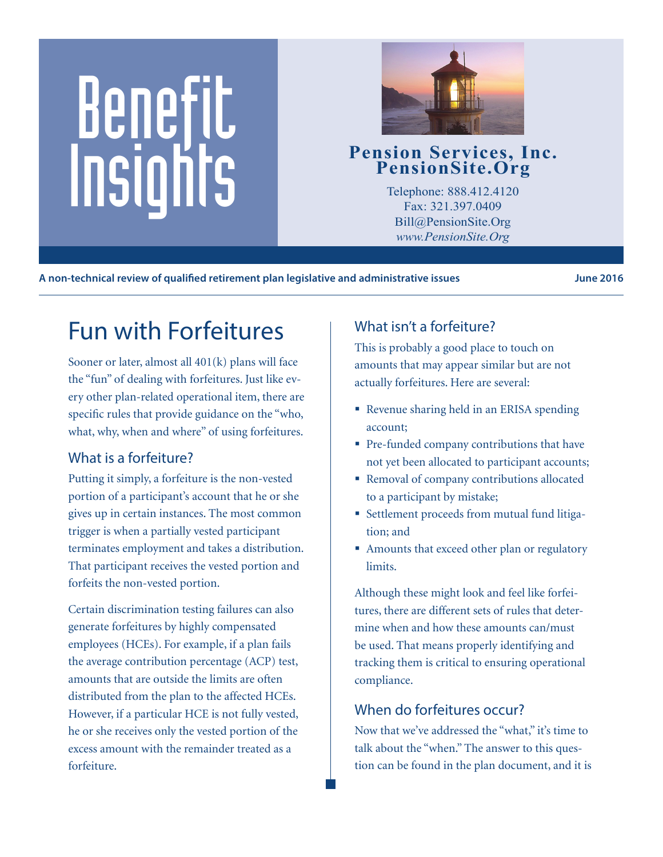# Benefit Pension Services, Inc.<br>
PensionSite.Org<br>
Telephone: 888.412.4120<br>
Fax: 321.397.0409<br>
Pill@BensionSite.Org



Telephone: 888.412.4120 Fax: 321.397.0409 Bill@PensionSite.Org *www.PensionSite.Org*

A non-technical review of qualified retirement plan legislative and administrative issues **Fig. 10.18** June 2016

# Fun with Forfeitures

Sooner or later, almost all 401(k) plans will face the "fun" of dealing with forfeitures. Just like every other plan-related operational item, there are specific rules that provide guidance on the "who, what, why, when and where" of using forfeitures.

#### What is a forfeiture?

Putting it simply, a forfeiture is the non-vested portion of a participant's account that he or she gives up in certain instances. The most common trigger is when a partially vested participant terminates employment and takes a distribution. That participant receives the vested portion and forfeits the non-vested portion.

Certain discrimination testing failures can also generate forfeitures by highly compensated employees (HCEs). For example, if a plan fails the average contribution percentage (ACP) test, amounts that are outside the limits are often distributed from the plan to the affected HCEs. However, if a particular HCE is not fully vested, he or she receives only the vested portion of the excess amount with the remainder treated as a forfeiture.

### What isn't a forfeiture?

This is probably a good place to touch on amounts that may appear similar but are not actually forfeitures. Here are several:

- Revenue sharing held in an ERISA spending account;
- **Pre-funded company contributions that have** not yet been allocated to participant accounts;
- Removal of company contributions allocated to a participant by mistake;
- Settlement proceeds from mutual fund litigation; and
- Amounts that exceed other plan or regulatory limits.

Although these might look and feel like forfeitures, there are different sets of rules that determine when and how these amounts can/must be used. That means properly identifying and tracking them is critical to ensuring operational compliance.

#### When do forfeitures occur?

Now that we've addressed the "what," it's time to talk about the "when." The answer to this question can be found in the plan document, and it is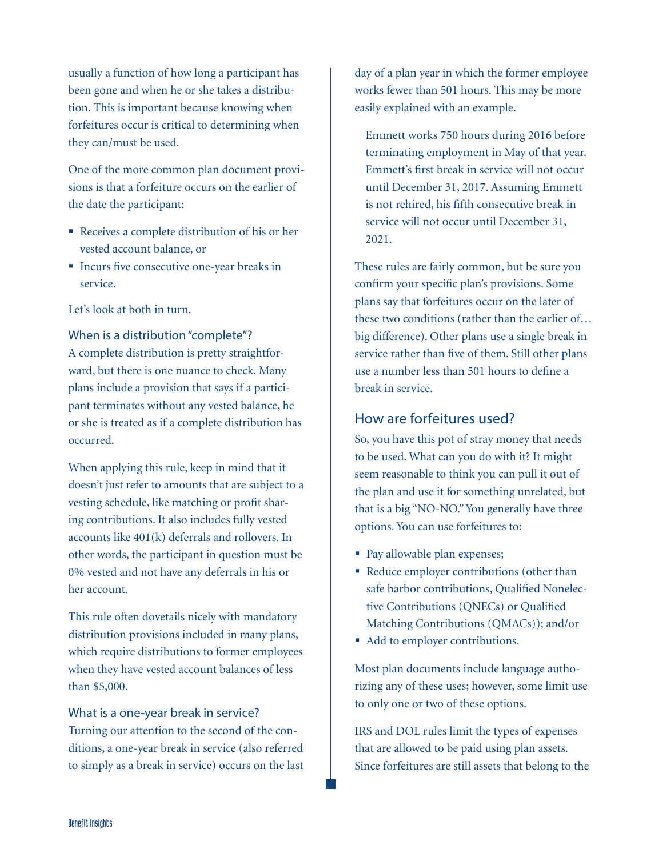usually a function of how long a participant has been gone and when he or she takes a distribution. This is important because knowing when forfeitures occur is critical to determining when they can/must be used.

One of the more common plan document provisions is that a forfeiture occurs on the earlier of the date the participant:

- Receives a complete distribution of his or her vested account balance, or
- Incurs five consecutive one-year breaks in service.

Let's look at both in turn.

#### When is a distribution "complete"?

A complete distribution is pretty straightforward, but there is one nuance to check. Many plans include a provision that says if a participant terminates without any vested balance, he or she is treated as if a complete distribution has occurred.

When applying this rule, keep in mind that it doesn't just refer to amounts that are subject to a vesting schedule, like matching or profit sharing contributions. It also includes fully vested accounts like 401(k) deferrals and rollovers. In other words, the participant in question must be 0% vested and not have any deferrals in his or her account.

This rule often dovetails nicely with mandatory distribution provisions included in many plans, which require distributions to former employees when they have vested account balances of less than \$5,000.

#### What is a one-year break in service?

Turning our attention to the second of the conditions, a one-year break in service (also referred to simply as a break in service) occurs on the last

day of a plan year in which the former employee works fewer than 501 hours. This may be more easily explained with an example.

Emmett works 750 hours during 2016 before terminating employment in May of that year. Emmett's first break in service will not occur until December 31, 2017. Assuming Emmett is not rehired, his fifth consecutive break in service will not occur until December 31, 2021.

These rules are fairly common, but be sure you confirm your specific plan's provisions. Some plans say that forfeitures occur on the later of these two conditions (rather than the earlier of… big difference). Other plans use a single break in service rather than five of them. Still other plans use a number less than 501 hours to define a break in service.

#### How are forfeitures used?

So, you have this pot of stray money that needs to be used. What can you do with it? It might seem reasonable to think you can pull it out of the plan and use it for something unrelated, but that is a big "NO-NO." You generally have three options. You can use forfeitures to:

- Pay allowable plan expenses;
- Reduce employer contributions (other than safe harbor contributions, Qualified Nonelective Contributions (QNECs) or Qualified Matching Contributions (QMACs)); and/or
- Add to employer contributions.

Most plan documents include language authorizing any of these uses; however, some limit use to only one or two of these options.

IRS and DOL rules limit the types of expenses that are allowed to be paid using plan assets. Since forfeitures are still assets that belong to the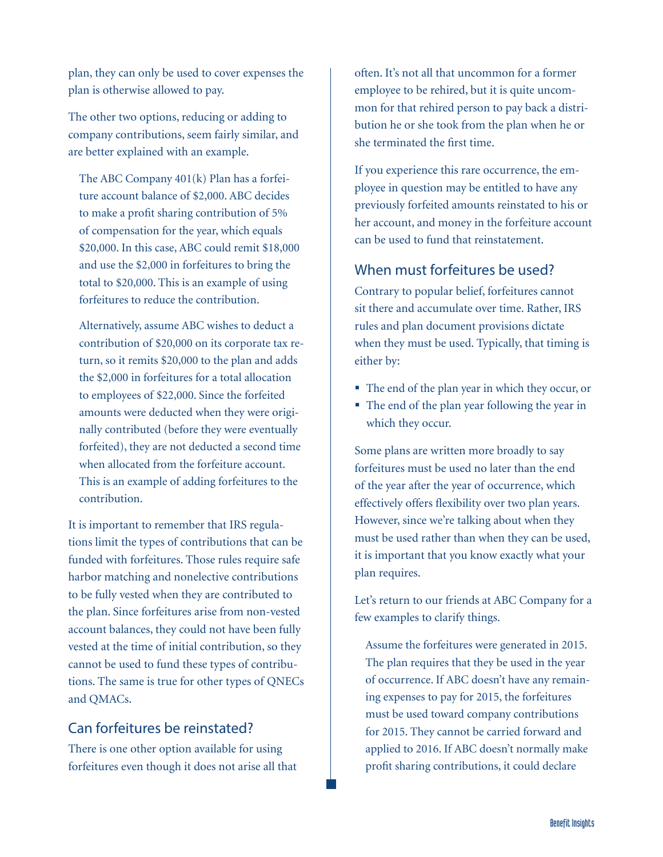plan, they can only be used to cover expenses the plan is otherwise allowed to pay.

The other two options, reducing or adding to company contributions, seem fairly similar, and are better explained with an example.

The ABC Company 401(k) Plan has a forfeiture account balance of \$2,000. ABC decides to make a profit sharing contribution of 5% of compensation for the year, which equals \$20,000. In this case, ABC could remit \$18,000 and use the \$2,000 in forfeitures to bring the total to \$20,000. This is an example of using forfeitures to reduce the contribution.

Alternatively, assume ABC wishes to deduct a contribution of \$20,000 on its corporate tax return, so it remits \$20,000 to the plan and adds the \$2,000 in forfeitures for a total allocation to employees of \$22,000. Since the forfeited amounts were deducted when they were originally contributed (before they were eventually forfeited), they are not deducted a second time when allocated from the forfeiture account. This is an example of adding forfeitures to the contribution.

It is important to remember that IRS regulations limit the types of contributions that can be funded with forfeitures. Those rules require safe harbor matching and nonelective contributions to be fully vested when they are contributed to the plan. Since forfeitures arise from non-vested account balances, they could not have been fully vested at the time of initial contribution, so they cannot be used to fund these types of contributions. The same is true for other types of QNECs and QMACs.

#### Can forfeitures be reinstated?

There is one other option available for using forfeitures even though it does not arise all that often. It's not all that uncommon for a former employee to be rehired, but it is quite uncommon for that rehired person to pay back a distribution he or she took from the plan when he or she terminated the first time.

If you experience this rare occurrence, the employee in question may be entitled to have any previously forfeited amounts reinstated to his or her account, and money in the forfeiture account can be used to fund that reinstatement.

#### When must forfeitures be used?

Contrary to popular belief, forfeitures cannot sit there and accumulate over time. Rather, IRS rules and plan document provisions dictate when they must be used. Typically, that timing is either by:

- The end of the plan year in which they occur, or
- The end of the plan year following the year in which they occur.

Some plans are written more broadly to say forfeitures must be used no later than the end of the year after the year of occurrence, which effectively offers flexibility over two plan years. However, since we're talking about when they must be used rather than when they can be used, it is important that you know exactly what your plan requires.

Let's return to our friends at ABC Company for a few examples to clarify things.

Assume the forfeitures were generated in 2015. The plan requires that they be used in the year of occurrence. If ABC doesn't have any remaining expenses to pay for 2015, the forfeitures must be used toward company contributions for 2015. They cannot be carried forward and applied to 2016. If ABC doesn't normally make profit sharing contributions, it could declare